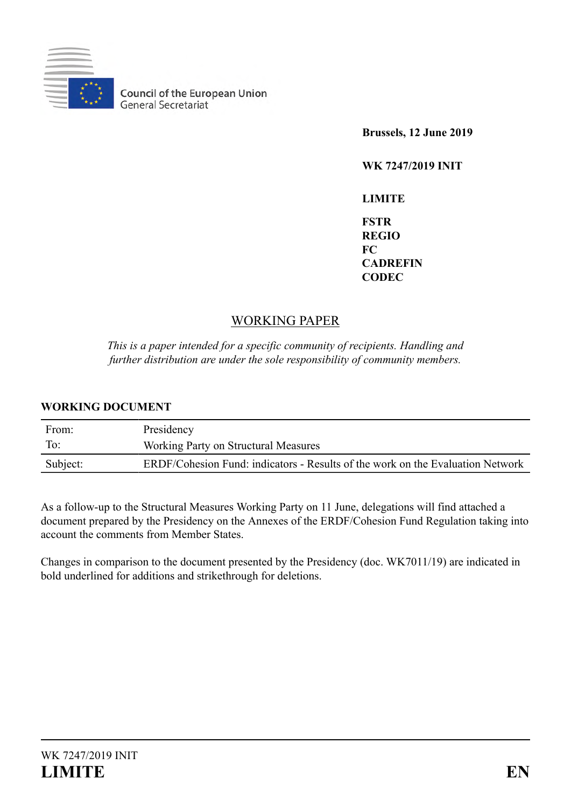

**Council of the European Union**<br>General Secretariat

**Brussels, 12 June 2019**

**WK 7247/2019 INIT**

**LIMITE FSTR REGIO FC CADREFIN CODEC**

# WORKING PAPER

*This is a paper intended for a specific community of recipients. Handling and further distribution are under the sole responsibility of community members.*

## **WORKING DOCUMENT**

| From:    | Presidency                                                                     |
|----------|--------------------------------------------------------------------------------|
| To:      | Working Party on Structural Measures                                           |
| Subject: | ERDF/Cohesion Fund: indicators - Results of the work on the Evaluation Network |

As a follow-up to the Structural Measures Working Party on 11 June, delegations will find attached a document prepared by the Presidency on the Annexes of the ERDF/Cohesion Fund Regulation taking into account the comments from Member States.

Changes in comparison to the document presented by the Presidency (doc. WK7011/19) are indicated in bold underlined for additions and strikethrough for deletions.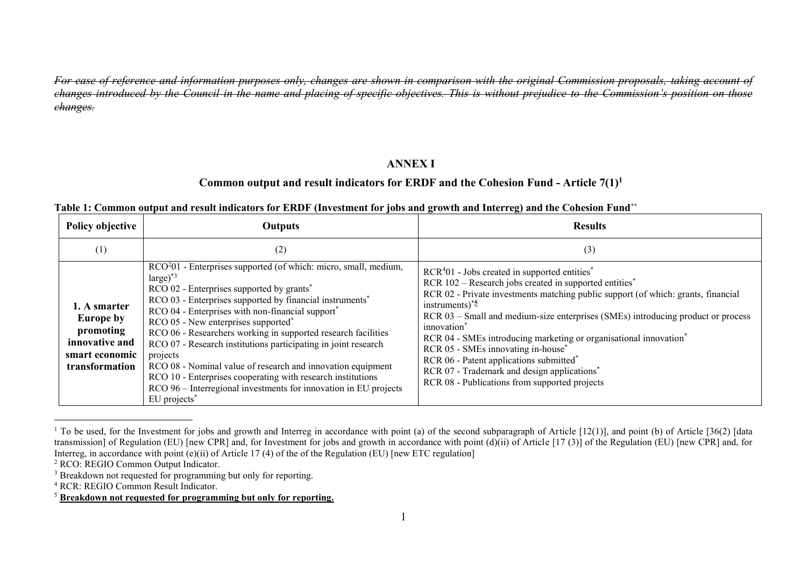*For ease of reference and information purposes only, changes are shown in comparison with the original Commission proposals, taking account of changes introduced by the Council in the name and placing of specific objectives. This is without prejudice to the Commission's position on those changes.*

#### **ANNEX I**

#### **Common output and result indicators for ERDF and the Cohesion Fund - Article 7(1)<sup>1</sup>**

| Table 1: Common output and result indicators for ERDF (Investment for jobs and growth and Interreg) and the Cohesion Fund** |  |  |
|-----------------------------------------------------------------------------------------------------------------------------|--|--|
|-----------------------------------------------------------------------------------------------------------------------------|--|--|

| <b>Policy objective</b>                                                                             | <b>Outputs</b>                                                                                                                                                                                                                                                                                                                                                                                                                                                                                                                                                                                                                                                                                                               | <b>Results</b>                                                                                                                                                                                                                                                                                                                                                                                                                                                                                                                                                                                                                          |
|-----------------------------------------------------------------------------------------------------|------------------------------------------------------------------------------------------------------------------------------------------------------------------------------------------------------------------------------------------------------------------------------------------------------------------------------------------------------------------------------------------------------------------------------------------------------------------------------------------------------------------------------------------------------------------------------------------------------------------------------------------------------------------------------------------------------------------------------|-----------------------------------------------------------------------------------------------------------------------------------------------------------------------------------------------------------------------------------------------------------------------------------------------------------------------------------------------------------------------------------------------------------------------------------------------------------------------------------------------------------------------------------------------------------------------------------------------------------------------------------------|
| (1)                                                                                                 | (2)                                                                                                                                                                                                                                                                                                                                                                                                                                                                                                                                                                                                                                                                                                                          | (3)                                                                                                                                                                                                                                                                                                                                                                                                                                                                                                                                                                                                                                     |
| 1. A smarter<br><b>Europe by</b><br>promoting<br>innovative and<br>smart economic<br>transformation | RCO <sup>2</sup> 01 - Enterprises supported (of which: micro, small, medium,<br>$large)^*$ <sup>3</sup><br>RCO 02 - Enterprises supported by grants <sup>*</sup><br>RCO 03 - Enterprises supported by financial instruments <sup>*</sup><br>RCO 04 - Enterprises with non-financial support*<br>RCO 05 - New enterprises supported <sup>*</sup><br>RCO 06 - Researchers working in supported research facilities<br>RCO 07 - Research institutions participating in joint research<br>projects<br>RCO 08 - Nominal value of research and innovation equipment<br>RCO 10 - Enterprises cooperating with research institutions<br>RCO 96 – Interregional investments for innovation in EU projects<br>EU projects <sup>*</sup> | $RCR401$ - Jobs created in supported entities <sup>*</sup><br>RCR 102 – Research jobs created in supported entities*<br>RCR 02 - Private investments matching public support (of which: grants, financial<br>instruments) $*5$<br>RCR 03 – Small and medium-size enterprises (SMEs) introducing product or process<br>innovation <sup>*</sup><br>RCR 04 - SMEs introducing marketing or organisational innovation <sup>*</sup><br>RCR 05 - SMEs innovating in-house*<br>RCR 06 - Patent applications submitted <sup>*</sup><br>RCR 07 - Trademark and design applications <sup>*</sup><br>RCR 08 - Publications from supported projects |

<sup>&</sup>lt;sup>1</sup> To be used, for the Investment for jobs and growth and Interreg in accordance with point (a) of the second subparagraph of Article [12(1)], and point (b) of Article [36(2) [data transmission] of Regulation (EU) [new CPR] and, for Investment for jobs and growth in accordance with point (d)(ii) of Article [17 (3)] of the Regulation (EU) [new CPR] and, for Interreg, in accordance with point (e)(ii) of Article 17 (4) of the of the Regulation (EU) [new ETC regulation]

<sup>2</sup> RCO: REGIO Common Output Indicator.

<sup>&</sup>lt;sup>3</sup> Breakdown not requested for programming but only for reporting.

<sup>4</sup> RCR: REGIO Common Result Indicator.

<sup>5</sup> **Breakdown not requested for programming but only for reporting.**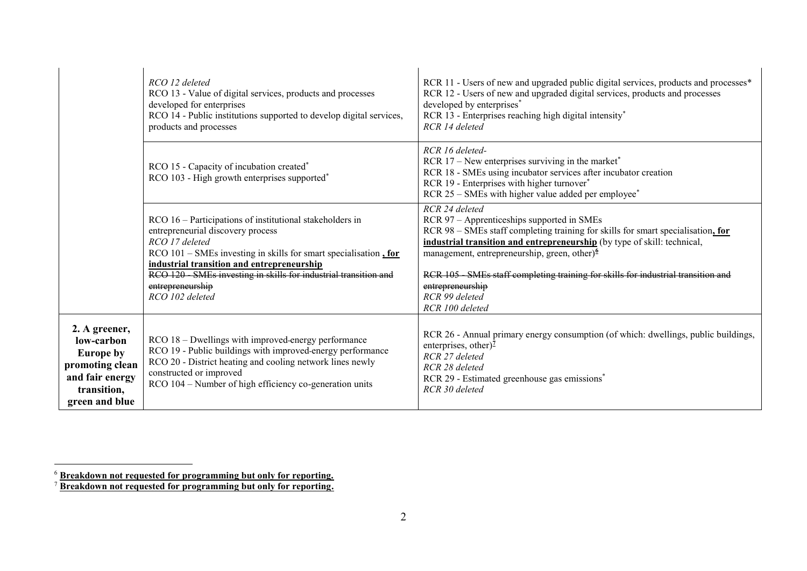|                                                                                                                        | RCO 12 deleted<br>RCO 13 - Value of digital services, products and processes<br>developed for enterprises<br>RCO 14 - Public institutions supported to develop digital services,<br>products and processes                                                                                                                                                | RCR 11 - Users of new and upgraded public digital services, products and processes*<br>RCR 12 - Users of new and upgraded digital services, products and processes<br>developed by enterprises <sup>*</sup><br>RCR 13 - Enterprises reaching high digital intensity*<br>RCR 14 deleted                                                                                                                                      |
|------------------------------------------------------------------------------------------------------------------------|-----------------------------------------------------------------------------------------------------------------------------------------------------------------------------------------------------------------------------------------------------------------------------------------------------------------------------------------------------------|-----------------------------------------------------------------------------------------------------------------------------------------------------------------------------------------------------------------------------------------------------------------------------------------------------------------------------------------------------------------------------------------------------------------------------|
| RCO 15 - Capacity of incubation created <sup>*</sup><br>RCO 103 - High growth enterprises supported <sup>*</sup>       |                                                                                                                                                                                                                                                                                                                                                           | RCR 16 deleted-<br>RCR $17$ – New enterprises surviving in the market <sup>*</sup><br>RCR 18 - SMEs using incubator services after incubator creation<br>RCR 19 - Enterprises with higher turnover*<br>RCR 25 – SMEs with higher value added per employee*                                                                                                                                                                  |
|                                                                                                                        | RCO 16 – Participations of institutional stakeholders in<br>entrepreneurial discovery process<br>RCO 17 deleted<br>$RCO$ 101 – SMEs investing in skills for smart specialisation $\frac{1}{2}$ for<br>industrial transition and entrepreneurship<br>RCO 120 SMEs investing in skills for industrial transition and<br>entrepreneurship<br>RCO 102 deleted | RCR 24 deleted<br>RCR 97 - Apprenticeships supported in SMEs<br>RCR 98 – SMEs staff completing training for skills for smart specialisation, for<br>industrial transition and entrepreneurship (by type of skill: technical,<br>management, entrepreneurship, green, other) $6$<br>RCR 105 SMEs staff completing training for skills for industrial transition and<br>entrepreneurship<br>RCR 99 deleted<br>RCR 100 deleted |
| 2. A greener,<br>low-carbon<br><b>Europe by</b><br>promoting clean<br>and fair energy<br>transition,<br>green and blue | RCO 18 - Dwellings with improved-energy performance<br>RCO 19 - Public buildings with improved-energy performance<br>RCO 20 - District heating and cooling network lines newly<br>constructed or improved<br>RCO 104 – Number of high efficiency co-generation units                                                                                      | RCR 26 - Annual primary energy consumption (of which: dwellings, public buildings,<br>enterprises, other) $^7$<br>RCR 27 deleted<br>RCR 28 deleted<br>RCR 29 - Estimated greenhouse gas emissions <sup>*</sup><br>RCR 30 deleted                                                                                                                                                                                            |

<sup>6</sup> **Breakdown not requested for programming but only for reporting.**

<sup>7</sup> **Breakdown not requested for programming but only for reporting.**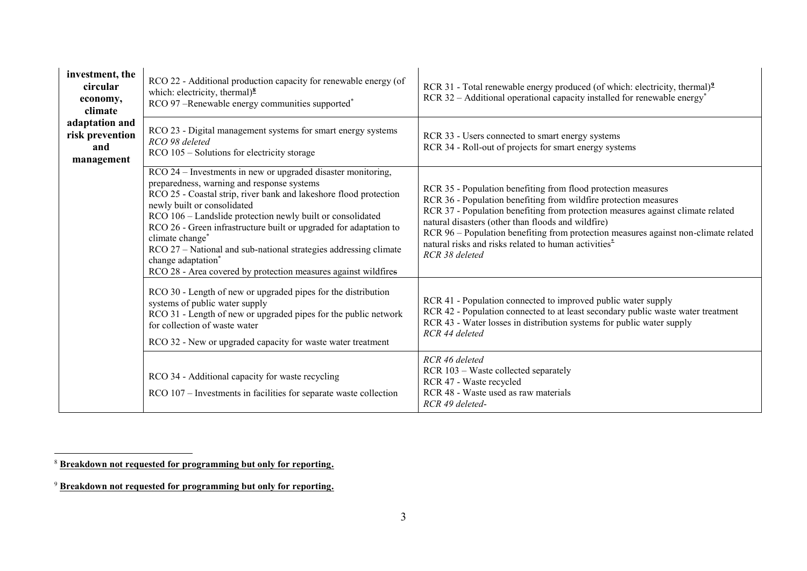| investment, the<br>circular<br>economy,<br>climate     | RCO 22 - Additional production capacity for renewable energy (of<br>which: electricity, thermal) $\frac{8}{3}$<br>RCO 97 -Renewable energy communities supported*                                                                                                                                                                                                                                                                                                                                                                | RCR 31 - Total renewable energy produced (of which: electricity, thermal) <sup>2</sup><br>RCR 32 – Additional operational capacity installed for renewable energy*                                                                                                                                                                                                                                                                                      |
|--------------------------------------------------------|----------------------------------------------------------------------------------------------------------------------------------------------------------------------------------------------------------------------------------------------------------------------------------------------------------------------------------------------------------------------------------------------------------------------------------------------------------------------------------------------------------------------------------|---------------------------------------------------------------------------------------------------------------------------------------------------------------------------------------------------------------------------------------------------------------------------------------------------------------------------------------------------------------------------------------------------------------------------------------------------------|
| adaptation and<br>risk prevention<br>and<br>management | RCO 23 - Digital management systems for smart energy systems<br>RCO 98 deleted<br>RCO 105 – Solutions for electricity storage                                                                                                                                                                                                                                                                                                                                                                                                    | RCR 33 - Users connected to smart energy systems<br>RCR 34 - Roll-out of projects for smart energy systems                                                                                                                                                                                                                                                                                                                                              |
|                                                        | RCO 24 – Investments in new or upgraded disaster monitoring,<br>preparedness, warning and response systems<br>RCO 25 - Coastal strip, river bank and lakeshore flood protection<br>newly built or consolidated<br>RCO 106 - Landslide protection newly built or consolidated<br>RCO 26 - Green infrastructure built or upgraded for adaptation to<br>climate change*<br>RCO 27 – National and sub-national strategies addressing climate<br>change adaptation*<br>RCO 28 - Area covered by protection measures against wildfires | RCR 35 - Population benefiting from flood protection measures<br>RCR 36 - Population benefiting from wildfire protection measures<br>RCR 37 - Population benefiting from protection measures against climate related<br>natural disasters (other than floods and wildfire)<br>RCR 96 - Population benefiting from protection measures against non-climate related<br>natural risks and risks related to human activities <sup>*</sup><br>RCR 38 deleted |
|                                                        | RCO 30 - Length of new or upgraded pipes for the distribution<br>systems of public water supply<br>RCO 31 - Length of new or upgraded pipes for the public network<br>for collection of waste water<br>RCO 32 - New or upgraded capacity for waste water treatment                                                                                                                                                                                                                                                               | RCR 41 - Population connected to improved public water supply<br>RCR 42 - Population connected to at least secondary public waste water treatment<br>RCR 43 - Water losses in distribution systems for public water supply<br>RCR 44 deleted                                                                                                                                                                                                            |
|                                                        | RCO 34 - Additional capacity for waste recycling<br>RCO 107 – Investments in facilities for separate waste collection                                                                                                                                                                                                                                                                                                                                                                                                            | RCR 46 deleted<br>RCR 103 - Waste collected separately<br>RCR 47 - Waste recycled<br>RCR 48 - Waste used as raw materials<br>RCR 49 deleted-                                                                                                                                                                                                                                                                                                            |

<sup>8</sup> **Breakdown not requested for programming but only for reporting.**

<sup>9</sup> **Breakdown not requested for programming but only for reporting.**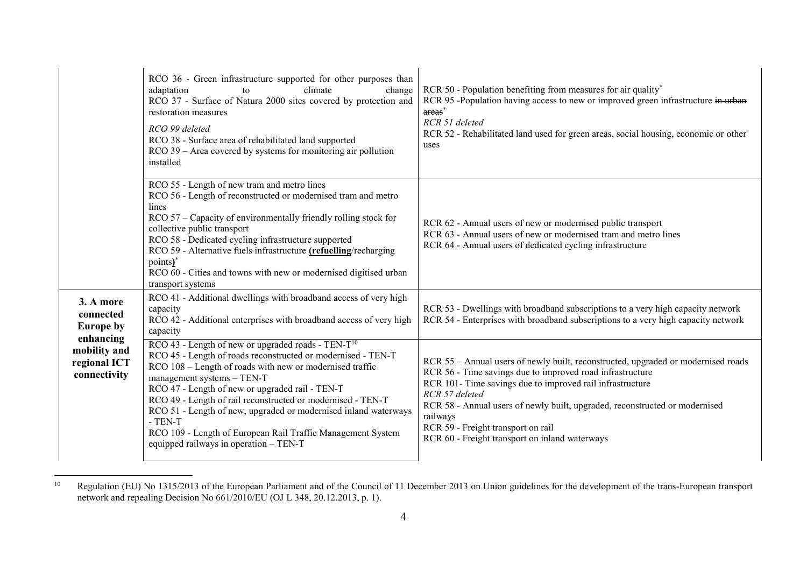|                                                           | RCO 36 - Green infrastructure supported for other purposes than<br>climate<br>adaptation<br>change<br>to<br>RCO 37 - Surface of Natura 2000 sites covered by protection and<br>restoration measures<br>RCO 99 deleted<br>RCO 38 - Surface area of rehabilitated land supported<br>$RCO$ 39 – Area covered by systems for monitoring air pollution<br>installed                                                                                                                                                                          | RCR 50 - Population benefiting from measures for air quality*<br>RCR 95 -Population having access to new or improved green infrastructure in urban<br>areas <sup>*</sup><br>RCR 51 deleted<br>RCR 52 - Rehabilitated land used for green areas, social housing, economic or other<br>uses                                                                                                                        |
|-----------------------------------------------------------|-----------------------------------------------------------------------------------------------------------------------------------------------------------------------------------------------------------------------------------------------------------------------------------------------------------------------------------------------------------------------------------------------------------------------------------------------------------------------------------------------------------------------------------------|------------------------------------------------------------------------------------------------------------------------------------------------------------------------------------------------------------------------------------------------------------------------------------------------------------------------------------------------------------------------------------------------------------------|
|                                                           | RCO 55 - Length of new tram and metro lines<br>RCO 56 - Length of reconstructed or modernised tram and metro<br>lines<br>RCO 57 – Capacity of environmentally friendly rolling stock for<br>collective public transport<br>RCO 58 - Dedicated cycling infrastructure supported<br>RCO 59 - Alternative fuels infrastructure (refuelling/recharging<br>points)*<br>RCO 60 - Cities and towns with new or modernised digitised urban<br>transport systems                                                                                 | RCR 62 - Annual users of new or modernised public transport<br>RCR 63 - Annual users of new or modernised tram and metro lines<br>RCR 64 - Annual users of dedicated cycling infrastructure                                                                                                                                                                                                                      |
| 3. A more<br>connected<br><b>Europe by</b>                | RCO 41 - Additional dwellings with broadband access of very high<br>capacity<br>RCO 42 - Additional enterprises with broadband access of very high<br>capacity                                                                                                                                                                                                                                                                                                                                                                          | RCR 53 - Dwellings with broadband subscriptions to a very high capacity network<br>RCR 54 - Enterprises with broadband subscriptions to a very high capacity network                                                                                                                                                                                                                                             |
| enhancing<br>mobility and<br>regional ICT<br>connectivity | RCO 43 - Length of new or upgraded roads - TEN-T <sup>10</sup><br>RCO 45 - Length of roads reconstructed or modernised - TEN-T<br>RCO 108 - Length of roads with new or modernised traffic<br>management systems - TEN-T<br>RCO 47 - Length of new or upgraded rail - TEN-T<br>RCO 49 - Length of rail reconstructed or modernised - TEN-T<br>RCO 51 - Length of new, upgraded or modernised inland waterways<br>$-$ TEN $-$ T<br>RCO 109 - Length of European Rail Traffic Management System<br>equipped railways in operation - TEN-T | RCR 55 - Annual users of newly built, reconstructed, upgraded or modernised roads<br>RCR 56 - Time savings due to improved road infrastructure<br>RCR 101- Time savings due to improved rail infrastructure<br>RCR 57 deleted<br>RCR 58 - Annual users of newly built, upgraded, reconstructed or modernised<br>railways<br>RCR 59 - Freight transport on rail<br>RCR 60 - Freight transport on inland waterways |

 $10\,$ <sup>10</sup> Regulation (EU) No 1315/2013 of the European Parliament and of the Council of 11 December 2013 on Union guidelines for the development of the trans-European transport network and repealing Decision No 661/2010/EU (OJ L 348, 20.12.2013, p. 1).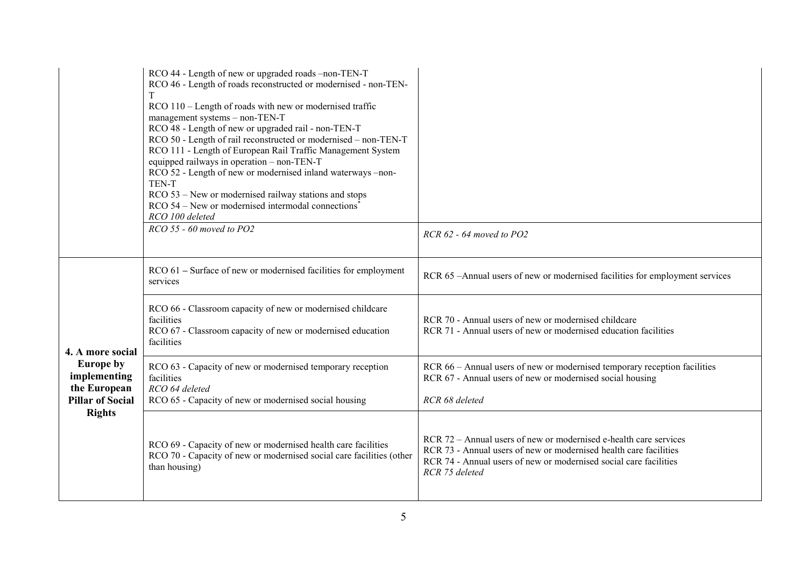|                                                                                                                  | RCO 44 - Length of new or upgraded roads -non-TEN-T<br>RCO 46 - Length of roads reconstructed or modernised - non-TEN-<br>T<br>RCO 110 – Length of roads with new or modernised traffic<br>management systems - non-TEN-T<br>RCO 48 - Length of new or upgraded rail - non-TEN-T<br>RCO 50 - Length of rail reconstructed or modernised - non-TEN-T<br>RCO 111 - Length of European Rail Traffic Management System<br>equipped railways in operation - non-TEN-T<br>RCO 52 - Length of new or modernised inland waterways -non-<br>TEN-T<br>RCO 53 – New or modernised railway stations and stops<br>$RCO$ 54 – New or modernised intermodal connections <sup>*</sup><br>RCO 100 deleted |                                                                                                                                                                                                                               |
|------------------------------------------------------------------------------------------------------------------|------------------------------------------------------------------------------------------------------------------------------------------------------------------------------------------------------------------------------------------------------------------------------------------------------------------------------------------------------------------------------------------------------------------------------------------------------------------------------------------------------------------------------------------------------------------------------------------------------------------------------------------------------------------------------------------|-------------------------------------------------------------------------------------------------------------------------------------------------------------------------------------------------------------------------------|
|                                                                                                                  | $RCO$ 55 - 60 moved to PO2                                                                                                                                                                                                                                                                                                                                                                                                                                                                                                                                                                                                                                                               | $RCR$ 62 - 64 moved to PO2                                                                                                                                                                                                    |
| 4. A more social<br><b>Europe by</b><br>implementing<br>the European<br><b>Pillar of Social</b><br><b>Rights</b> | RCO 61 - Surface of new or modernised facilities for employment<br>services                                                                                                                                                                                                                                                                                                                                                                                                                                                                                                                                                                                                              | RCR 65 -Annual users of new or modernised facilities for employment services                                                                                                                                                  |
|                                                                                                                  | RCO 66 - Classroom capacity of new or modernised childcare<br>facilities<br>RCO 67 - Classroom capacity of new or modernised education<br>facilities                                                                                                                                                                                                                                                                                                                                                                                                                                                                                                                                     | RCR 70 - Annual users of new or modernised childcare<br>RCR 71 - Annual users of new or modernised education facilities                                                                                                       |
|                                                                                                                  | RCO 63 - Capacity of new or modernised temporary reception<br>facilities<br>RCO 64 deleted<br>RCO 65 - Capacity of new or modernised social housing                                                                                                                                                                                                                                                                                                                                                                                                                                                                                                                                      | RCR 66 - Annual users of new or modernised temporary reception facilities<br>RCR 67 - Annual users of new or modernised social housing<br>RCR 68 deleted                                                                      |
|                                                                                                                  | RCO 69 - Capacity of new or modernised health care facilities<br>RCO 70 - Capacity of new or modernised social care facilities (other<br>than housing)                                                                                                                                                                                                                                                                                                                                                                                                                                                                                                                                   | RCR 72 – Annual users of new or modernised e-health care services<br>RCR 73 - Annual users of new or modernised health care facilities<br>RCR 74 - Annual users of new or modernised social care facilities<br>RCR 75 deleted |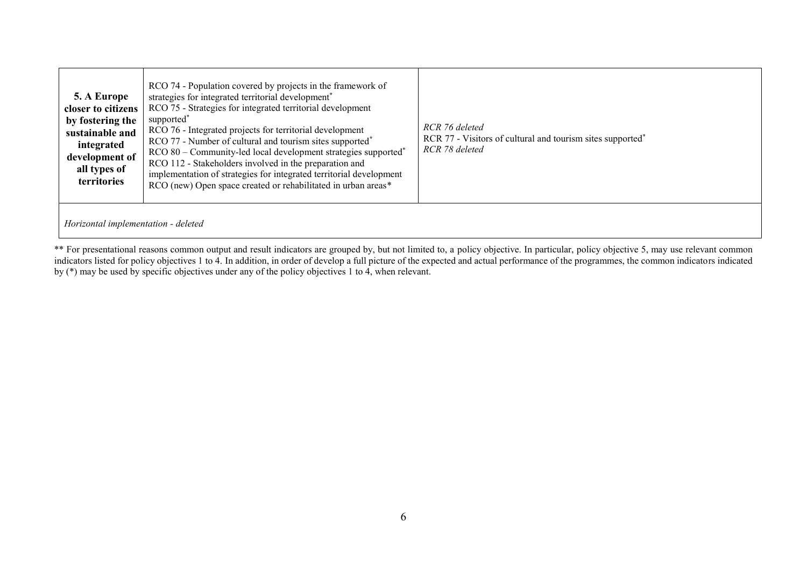| 5. A Europe<br>closer to citizens<br>by fostering the<br>sustainable and<br>integrated<br>development of<br>all types of<br>territories | RCO 74 - Population covered by projects in the framework of<br>strategies for integrated territorial development <sup>*</sup><br>RCO 75 - Strategies for integrated territorial development<br>supported <sup>*</sup><br>RCO 76 - Integrated projects for territorial development<br>RCO 77 - Number of cultural and tourism sites supported <sup>*</sup><br>RCO 80 - Community-led local development strategies supported <sup>*</sup><br>RCO 112 - Stakeholders involved in the preparation and<br>implementation of strategies for integrated territorial development<br>RCO (new) Open space created or rehabilitated in urban areas* | RCR 76 deleted<br>RCR 77 - Visitors of cultural and tourism sites supported <sup>*</sup><br>RCR 78 deleted |
|-----------------------------------------------------------------------------------------------------------------------------------------|-------------------------------------------------------------------------------------------------------------------------------------------------------------------------------------------------------------------------------------------------------------------------------------------------------------------------------------------------------------------------------------------------------------------------------------------------------------------------------------------------------------------------------------------------------------------------------------------------------------------------------------------|------------------------------------------------------------------------------------------------------------|
| Horizontal implementation - deleted                                                                                                     |                                                                                                                                                                                                                                                                                                                                                                                                                                                                                                                                                                                                                                           |                                                                                                            |

\*\* For presentational reasons common output and result indicators are grouped by, but not limited to, a policy objective. In particular, policy objective 5, may use relevant common indicators listed for policy objectives 1 to 4. In addition, in order of develop a full picture of the expected and actual performance of the programmes, the common indicators indicated by (\*) may be used by specific objectives under any of the policy objectives 1 to 4, when relevant.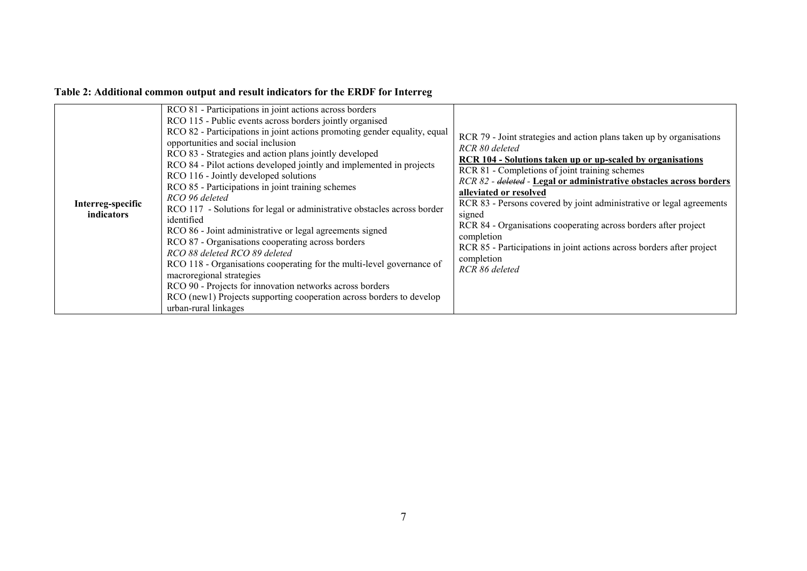## **Table 2: Additional common output and result indicators for the ERDF for Interreg**

| Interreg-specific<br>indicators | RCO 81 - Participations in joint actions across borders<br>RCO 115 - Public events across borders jointly organised<br>RCO 82 - Participations in joint actions promoting gender equality, equal<br>opportunities and social inclusion<br>RCO 83 - Strategies and action plans jointly developed<br>RCO 84 - Pilot actions developed jointly and implemented in projects<br>RCO 116 - Jointly developed solutions<br>RCO 85 - Participations in joint training schemes<br>RCO 96 deleted<br>RCO 117 - Solutions for legal or administrative obstacles across border<br>identified<br>RCO 86 - Joint administrative or legal agreements signed<br>RCO 87 - Organisations cooperating across borders<br>RCO 88 deleted RCO 89 deleted<br>RCO 118 - Organisations cooperating for the multi-level governance of<br>macroregional strategies<br>RCO 90 - Projects for innovation networks across borders<br>RCO (newl) Projects supporting cooperation across borders to develop<br>urban-rural linkages | RCR 79 - Joint strategies and action plans taken up by organisations<br>RCR 80 deleted<br><b>RCR 104 - Solutions taken up or up-scaled by organisations</b><br>RCR 81 - Completions of joint training schemes<br>RCR 82 - deleted - Legal or administrative obstacles across borders<br>alleviated or resolved<br>RCR 83 - Persons covered by joint administrative or legal agreements<br>signed<br>RCR 84 - Organisations cooperating across borders after project<br>completion<br>RCR 85 - Participations in joint actions across borders after project<br>completion<br>RCR 86 deleted |
|---------------------------------|------------------------------------------------------------------------------------------------------------------------------------------------------------------------------------------------------------------------------------------------------------------------------------------------------------------------------------------------------------------------------------------------------------------------------------------------------------------------------------------------------------------------------------------------------------------------------------------------------------------------------------------------------------------------------------------------------------------------------------------------------------------------------------------------------------------------------------------------------------------------------------------------------------------------------------------------------------------------------------------------------|--------------------------------------------------------------------------------------------------------------------------------------------------------------------------------------------------------------------------------------------------------------------------------------------------------------------------------------------------------------------------------------------------------------------------------------------------------------------------------------------------------------------------------------------------------------------------------------------|
|---------------------------------|------------------------------------------------------------------------------------------------------------------------------------------------------------------------------------------------------------------------------------------------------------------------------------------------------------------------------------------------------------------------------------------------------------------------------------------------------------------------------------------------------------------------------------------------------------------------------------------------------------------------------------------------------------------------------------------------------------------------------------------------------------------------------------------------------------------------------------------------------------------------------------------------------------------------------------------------------------------------------------------------------|--------------------------------------------------------------------------------------------------------------------------------------------------------------------------------------------------------------------------------------------------------------------------------------------------------------------------------------------------------------------------------------------------------------------------------------------------------------------------------------------------------------------------------------------------------------------------------------------|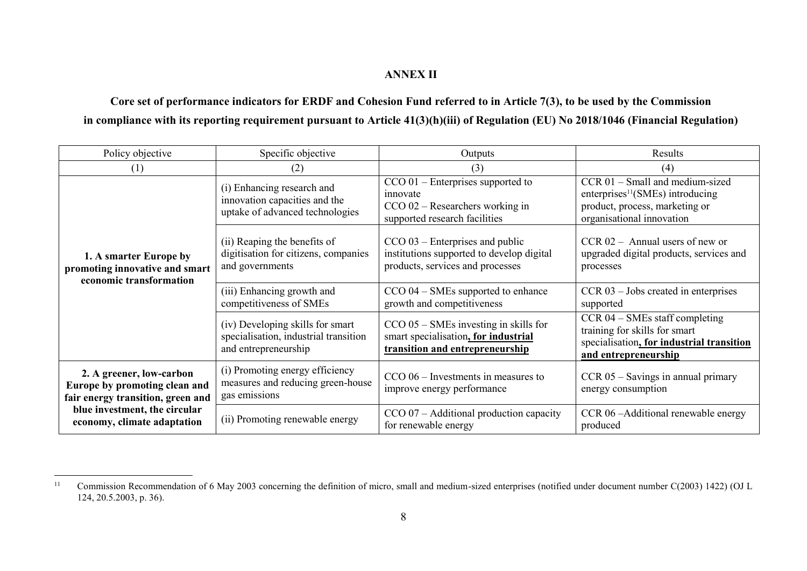### **ANNEX II**

**Core set of performance indicators for ERDF and Cohesion Fund referred to in Article 7(3), to be used by the Commission in compliance with its reporting requirement pursuant to Article 41(3)(h)(iii) of Regulation (EU) No 2018/1046 (Financial Regulation)**

| Policy objective                                                                                                                                               | Specific objective                                                                                | Outputs                                                                                                               | Results                                                                                                                                        |
|----------------------------------------------------------------------------------------------------------------------------------------------------------------|---------------------------------------------------------------------------------------------------|-----------------------------------------------------------------------------------------------------------------------|------------------------------------------------------------------------------------------------------------------------------------------------|
| (1)                                                                                                                                                            | (2)                                                                                               | (3)                                                                                                                   | (4)                                                                                                                                            |
| 1. A smarter Europe by<br>promoting innovative and smart<br>economic transformation                                                                            | (i) Enhancing research and<br>innovation capacities and the<br>uptake of advanced technologies    | $CCO 01$ – Enterprises supported to<br>innovate<br>$CCO 02 - Researchers working in$<br>supported research facilities | CCR 01 - Small and medium-sized<br>enterprises <sup>11</sup> (SMEs) introducing<br>product, process, marketing or<br>organisational innovation |
|                                                                                                                                                                | (ii) Reaping the benefits of<br>digitisation for citizens, companies<br>and governments           | $CCO$ 03 – Enterprises and public<br>institutions supported to develop digital<br>products, services and processes    | $CCR 02 - Annual users of new or$<br>upgraded digital products, services and<br>processes                                                      |
|                                                                                                                                                                | (iii) Enhancing growth and<br>competitiveness of SMEs                                             | CCO 04 – SMEs supported to enhance<br>growth and competitiveness                                                      | $CCR$ 03 – Jobs created in enterprises<br>supported                                                                                            |
|                                                                                                                                                                | (iv) Developing skills for smart<br>specialisation, industrial transition<br>and entrepreneurship | $CCO$ 05 – SMEs investing in skills for<br>smart specialisation, for industrial<br>transition and entrepreneurship    | CCR 04 - SMEs staff completing<br>training for skills for smart<br>specialisation, for industrial transition<br>and entrepreneurship           |
| 2. A greener, low-carbon<br>Europe by promoting clean and<br>fair energy transition, green and<br>blue investment, the circular<br>economy, climate adaptation | (i) Promoting energy efficiency<br>measures and reducing green-house<br>gas emissions             | $CCO 06$ – Investments in measures to<br>improve energy performance                                                   | CCR 05 - Savings in annual primary<br>energy consumption                                                                                       |
|                                                                                                                                                                | (ii) Promoting renewable energy                                                                   | $CCO 07 - Additional production capacity$<br>for renewable energy                                                     | CCR 06-Additional renewable energy<br>produced                                                                                                 |

<sup>&</sup>lt;sup>11</sup> Commission Recommendation of 6 May 2003 concerning the definition of micro, small and medium-sized enterprises (notified under document number C(2003) 1422) (OJ L 124, 20.5.2003, p. 36).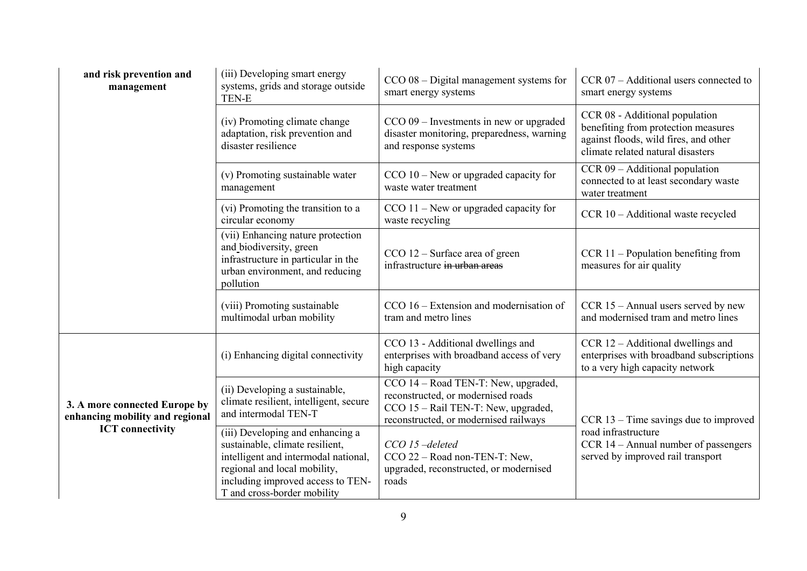| and risk prevention and<br>management                                                       | (iii) Developing smart energy<br>systems, grids and storage outside<br>TEN-E                                                                                                                                    | $CCO$ 08 – Digital management systems for<br>smart energy systems                                                                                           | $CCR 07 - Additional users connected to$<br>smart energy systems                                                                                    |
|---------------------------------------------------------------------------------------------|-----------------------------------------------------------------------------------------------------------------------------------------------------------------------------------------------------------------|-------------------------------------------------------------------------------------------------------------------------------------------------------------|-----------------------------------------------------------------------------------------------------------------------------------------------------|
|                                                                                             | (iv) Promoting climate change<br>adaptation, risk prevention and<br>disaster resilience                                                                                                                         | $CCO 09$ – Investments in new or upgraded<br>disaster monitoring, preparedness, warning<br>and response systems                                             | CCR 08 - Additional population<br>benefiting from protection measures<br>against floods, wild fires, and other<br>climate related natural disasters |
|                                                                                             | (v) Promoting sustainable water<br>management                                                                                                                                                                   | $CCO 10 - New$ or upgraded capacity for<br>waste water treatment                                                                                            | $CCR 09 - Additional population$<br>connected to at least secondary waste<br>water treatment                                                        |
|                                                                                             | (vi) Promoting the transition to a<br>circular economy                                                                                                                                                          | $CCO$ 11 – New or upgraded capacity for<br>waste recycling                                                                                                  | CCR 10 - Additional waste recycled                                                                                                                  |
|                                                                                             | (vii) Enhancing nature protection<br>and biodiversity, green<br>infrastructure in particular in the<br>urban environment, and reducing<br>pollution                                                             | $CCO 12 - Surface area of green$<br>infrastructure in urban areas                                                                                           | $CCR 11 - Population benefiting from$<br>measures for air quality                                                                                   |
|                                                                                             | (viii) Promoting sustainable<br>multimodal urban mobility                                                                                                                                                       | CCO 16 – Extension and modernisation of<br>tram and metro lines                                                                                             | $CCR 15 - Annual users served by new$<br>and modernised tram and metro lines                                                                        |
|                                                                                             | (i) Enhancing digital connectivity                                                                                                                                                                              | CCO 13 - Additional dwellings and<br>enterprises with broadband access of very<br>high capacity                                                             | $CCR 12 - Additional dwellings and$<br>enterprises with broadband subscriptions<br>to a very high capacity network                                  |
| 3. A more connected Europe by<br>enhancing mobility and regional<br><b>ICT</b> connectivity | (ii) Developing a sustainable,<br>climate resilient, intelligent, secure<br>and intermodal TEN-T                                                                                                                | CCO 14 – Road TEN-T: New, upgraded,<br>reconstructed, or modernised roads<br>$CCO$ 15 – Rail TEN-T: New, upgraded,<br>reconstructed, or modernised railways | $CCR$ 13 – Time savings due to improved                                                                                                             |
|                                                                                             | (iii) Developing and enhancing a<br>sustainable, climate resilient,<br>intelligent and intermodal national,<br>regional and local mobility,<br>including improved access to TEN-<br>T and cross-border mobility | CCO 15-deleted<br>CCO 22 - Road non-TEN-T: New,<br>upgraded, reconstructed, or modernised<br>roads                                                          | road infrastructure<br>CCR 14 – Annual number of passengers<br>served by improved rail transport                                                    |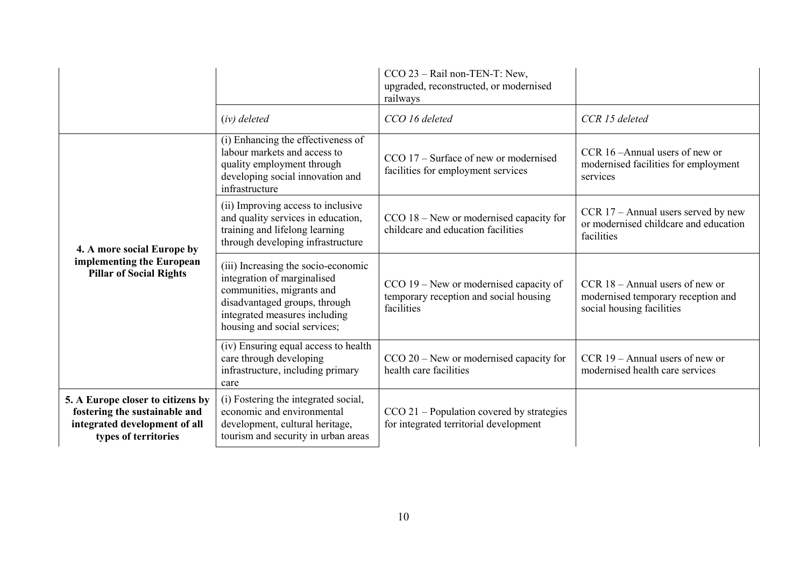|                                                                                                                             |                                                                                                                                                                                                   | CCO 23 - Rail non-TEN-T: New,<br>upgraded, reconstructed, or modernised<br>railways            |                                                                                                      |
|-----------------------------------------------------------------------------------------------------------------------------|---------------------------------------------------------------------------------------------------------------------------------------------------------------------------------------------------|------------------------------------------------------------------------------------------------|------------------------------------------------------------------------------------------------------|
|                                                                                                                             | $(iv)$ deleted                                                                                                                                                                                    | CCO 16 deleted                                                                                 | CCR 15 deleted                                                                                       |
| 4. A more social Europe by<br>implementing the European<br><b>Pillar of Social Rights</b>                                   | (i) Enhancing the effectiveness of<br>labour markets and access to<br>quality employment through<br>developing social innovation and<br>infrastructure                                            | $CCO$ 17 – Surface of new or modernised<br>facilities for employment services                  | CCR 16-Annual users of new or<br>modernised facilities for employment<br>services                    |
|                                                                                                                             | (ii) Improving access to inclusive<br>and quality services in education,<br>training and lifelong learning<br>through developing infrastructure                                                   | $CCO$ 18 – New or modernised capacity for<br>childcare and education facilities                | $CCR$ 17 – Annual users served by new<br>or modernised childcare and education<br>facilities         |
|                                                                                                                             | (iii) Increasing the socio-economic<br>integration of marginalised<br>communities, migrants and<br>disadvantaged groups, through<br>integrated measures including<br>housing and social services; | CCO 19 – New or modernised capacity of<br>temporary reception and social housing<br>facilities | CCR $18 -$ Annual users of new or<br>modernised temporary reception and<br>social housing facilities |
|                                                                                                                             | (iv) Ensuring equal access to health<br>care through developing<br>infrastructure, including primary<br>care                                                                                      | $CCO 20$ – New or modernised capacity for<br>health care facilities                            | $CCR 19 - Annual users of new or$<br>modernised health care services                                 |
| 5. A Europe closer to citizens by<br>fostering the sustainable and<br>integrated development of all<br>types of territories | (i) Fostering the integrated social,<br>economic and environmental<br>development, cultural heritage,<br>tourism and security in urban areas                                                      | $CCO 21$ – Population covered by strategies<br>for integrated territorial development          |                                                                                                      |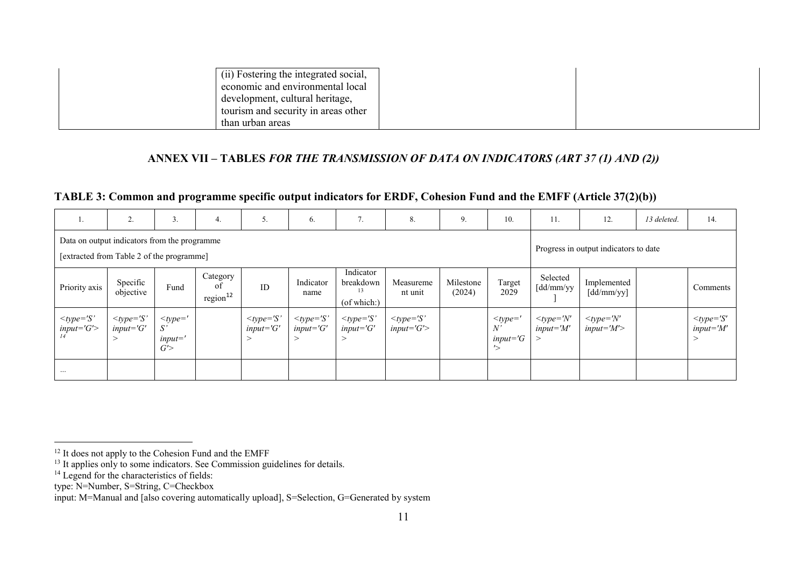| (ii) Fostering the integrated social, |  |
|---------------------------------------|--|
| economic and environmental local      |  |
| development, cultural heritage,       |  |
| tourism and security in areas other   |  |
| than urban areas                      |  |

### **ANNEX VII – TABLES** *FOR THE TRANSMISSION OF DATA ON INDICATORS (ART 37 (1) AND (2))*

### **TABLE 3: Common and programme specific output indicators for ERDF, Cohesion Fund and the EMFF (Article 37(2)(b))**

| 1.                                           | 2.                                        | 3.                                             | 4.                                     | 5.                            | 6.                             | 7.                                                | 8.                            | 9.                  | 10.                                  | 11.                                  | 12.                                        | 13 deleted. | 14.                                       |
|----------------------------------------------|-------------------------------------------|------------------------------------------------|----------------------------------------|-------------------------------|--------------------------------|---------------------------------------------------|-------------------------------|---------------------|--------------------------------------|--------------------------------------|--------------------------------------------|-------------|-------------------------------------------|
| Data on output indicators from the programme | [extracted from Table 2 of the programme] |                                                | Progress in output indicators to date  |                               |                                |                                                   |                               |                     |                                      |                                      |                                            |             |                                           |
| Priority axis                                | Specific<br>objective                     | Fund                                           | Category<br>of<br>region <sup>12</sup> | ID                            | Indicator<br>name              | Indicator<br>breakdown<br>13<br>$($ of which: $)$ | Measureme<br>nt unit          | Milestone<br>(2024) | Target<br>2029                       | Selected<br>$\lceil dd/mm/yy \rceil$ | Implemented<br>$\left[$ dd/mm/yy $\right]$ |             | Comments                                  |
| $lt$ type='S'<br>$input = 'G'$               | $lt$ type='S'<br>$input = 'G'$            | $lt$ type='<br>$S^{\prime}$<br>$input =$<br>G' |                                        | $lt type=S'$<br>$input = 'G'$ | $lt$ type='S'<br>$input = 'G'$ | $lt type=S'$<br>$input = 'G'$                     | $lt type=S'$<br>$input = 'G'$ |                     | $<$ type='<br>N'<br>$input = G$<br>へ | $lt type = 'N'$<br>$input = M'$      | $lt$ type='N'<br>$input = M'$              |             | $lt$ type='S'<br>$input = M'$<br>$\rm{>}$ |
| $\cdots$                                     |                                           |                                                |                                        |                               |                                |                                                   |                               |                     |                                      |                                      |                                            |             |                                           |

<sup>&</sup>lt;sup>12</sup> It does not apply to the Cohesion Fund and the EMFF

<sup>&</sup>lt;sup>13</sup> It applies only to some indicators. See Commission guidelines for details.

<sup>&</sup>lt;sup>14</sup> Legend for the characteristics of fields:

type: N=Number, S=String, C=Checkbox

input: M=Manual and [also covering automatically upload], S=Selection, G=Generated by system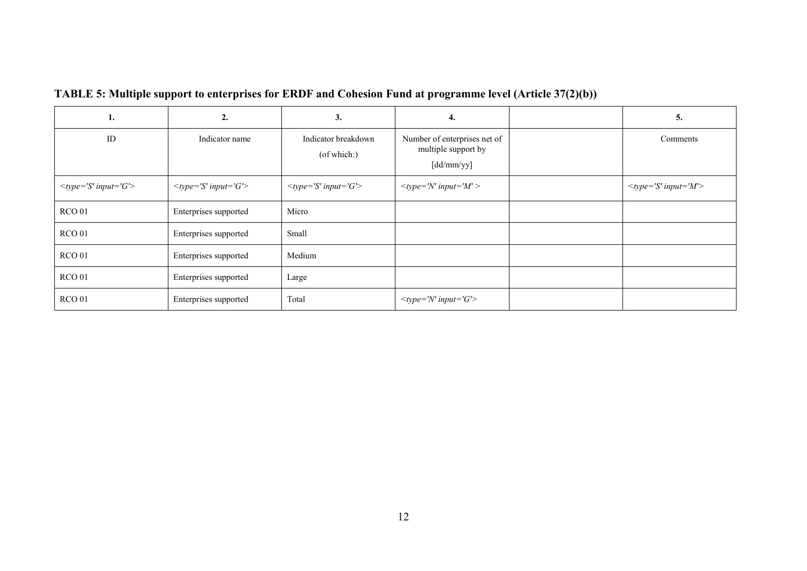| ı.                      | 2.                      | 3.                                 | 4.                                                                | 5.                      |
|-------------------------|-------------------------|------------------------------------|-------------------------------------------------------------------|-------------------------|
| ID                      | Indicator name          | Indicator breakdown<br>(of which:) | Number of enterprises net of<br>multiple support by<br>[dd/mm/yy] | Comments                |
| $lt type='S' input='G'$ | $lt type='S' input='G'$ | $lt type='S' input='G'$            | $lt type = 'N' input = 'M' >$                                     | $lt type='S' input='M'$ |
| RCO <sub>01</sub>       | Enterprises supported   | Micro                              |                                                                   |                         |
| <b>RCO 01</b>           | Enterprises supported   | Small                              |                                                                   |                         |
| RCO <sub>01</sub>       | Enterprises supported   | Medium                             |                                                                   |                         |
| RCO <sub>01</sub>       | Enterprises supported   | Large                              |                                                                   |                         |
| RCO <sub>01</sub>       | Enterprises supported   | Total                              | $lt type = 'N' input = 'G'$                                       |                         |

**TABLE 5: Multiple support to enterprises for ERDF and Cohesion Fund at programme level (Article 37(2)(b))**